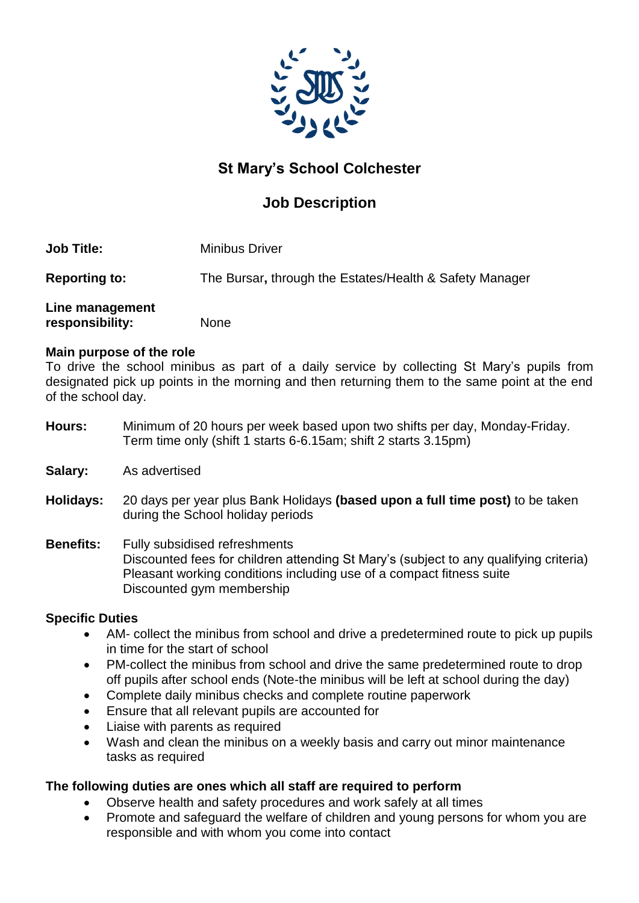

## **St Mary's School Colchester**

## **Job Description**

**Reporting to:** The Bursar**,** through the Estates/Health & Safety Manager

### **Line management responsibility:** None

#### **Main purpose of the role**

To drive the school minibus as part of a daily service by collecting St Mary's pupils from designated pick up points in the morning and then returning them to the same point at the end of the school day.

- **Hours:** Minimum of 20 hours per week based upon two shifts per day, Monday-Friday. Term time only (shift 1 starts 6-6.15am; shift 2 starts 3.15pm)
- **Salary:** As advertised
- **Holidays:** 20 days per year plus Bank Holidays **(based upon a full time post)** to be taken during the School holiday periods

#### **Benefits:** Fully subsidised refreshments Discounted fees for children attending St Mary's (subject to any qualifying criteria) Pleasant working conditions including use of a compact fitness suite Discounted gym membership

#### **Specific Duties**

- AM- collect the minibus from school and drive a predetermined route to pick up pupils in time for the start of school
- PM-collect the minibus from school and drive the same predetermined route to drop off pupils after school ends (Note-the minibus will be left at school during the day)
- Complete daily minibus checks and complete routine paperwork
- Ensure that all relevant pupils are accounted for
- Liaise with parents as required
- Wash and clean the minibus on a weekly basis and carry out minor maintenance tasks as required

#### **The following duties are ones which all staff are required to perform**

- Observe health and safety procedures and work safely at all times
- Promote and safeguard the welfare of children and young persons for whom you are responsible and with whom you come into contact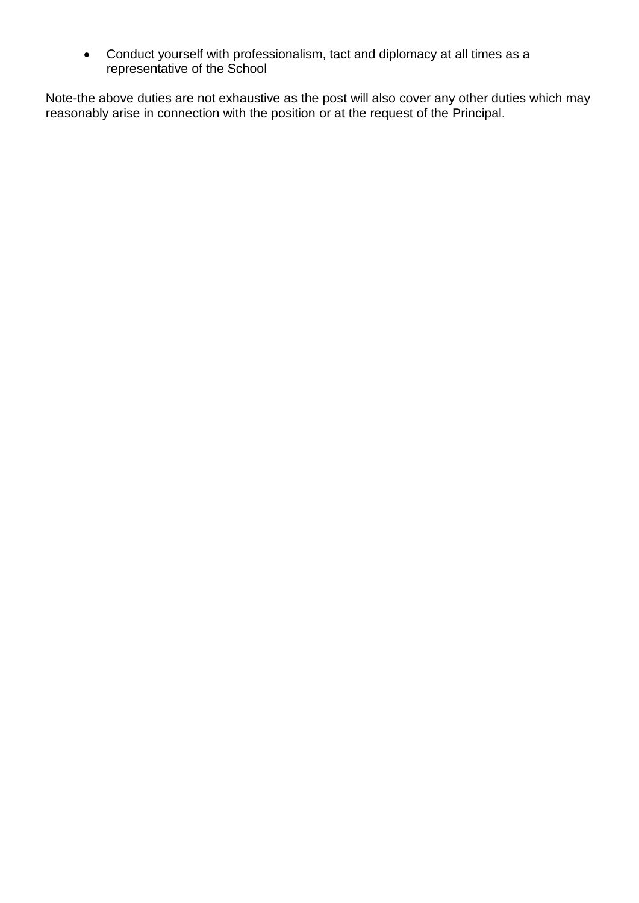Conduct yourself with professionalism, tact and diplomacy at all times as a representative of the School

Note-the above duties are not exhaustive as the post will also cover any other duties which may reasonably arise in connection with the position or at the request of the Principal.